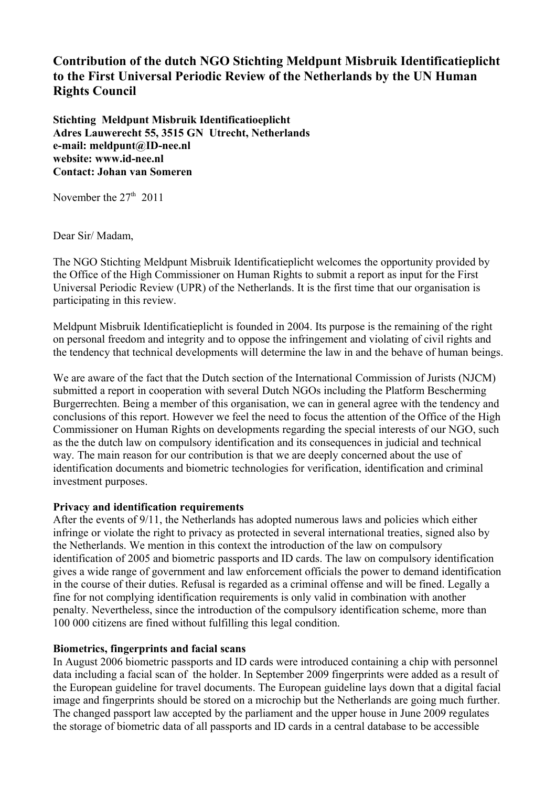# **Contribution of the dutch NGO Stichting Meldpunt Misbruik Identificatieplicht to the First Universal Periodic Review of the Netherlands by the UN Human Rights Council**

**Stichting Meldpunt Misbruik Identificatioeplicht Adres Lauwerecht 55, 3515 GN Utrecht, Netherlands e-mail: meldpunt@ID-nee.nl website: www.id-nee.nl Contact: Johan van Someren**

November the  $27<sup>th</sup>$  2011

Dear Sir/ Madam,

The NGO Stichting Meldpunt Misbruik Identificatieplicht welcomes the opportunity provided by the Office of the High Commissioner on Human Rights to submit a report as input for the First Universal Periodic Review (UPR) of the Netherlands. It is the first time that our organisation is participating in this review.

Meldpunt Misbruik Identificatieplicht is founded in 2004. Its purpose is the remaining of the right on personal freedom and integrity and to oppose the infringement and violating of civil rights and the tendency that technical developments will determine the law in and the behave of human beings.

We are aware of the fact that the Dutch section of the International Commission of Jurists (NJCM) submitted a report in cooperation with several Dutch NGOs including the Platform Bescherming Burgerrechten. Being a member of this organisation, we can in general agree with the tendency and conclusions of this report. However we feel the need to focus the attention of the Office of the High Commissioner on Human Rights on developments regarding the special interests of our NGO, such as the the dutch law on compulsory identification and its consequences in judicial and technical way. The main reason for our contribution is that we are deeply concerned about the use of identification documents and biometric technologies for verification, identification and criminal investment purposes.

## **Privacy and identification requirements**

After the events of 9/11, the Netherlands has adopted numerous laws and policies which either infringe or violate the right to privacy as protected in several international treaties, signed also by the Netherlands. We mention in this context the introduction of the law on compulsory identification of 2005 and biometric passports and ID cards. The law on compulsory identification gives a wide range of government and law enforcement officials the power to demand identification in the course of their duties. Refusal is regarded as a criminal offense and will be fined. Legally a fine for not complying identification requirements is only valid in combination with another penalty. Nevertheless, since the introduction of the compulsory identification scheme, more than 100 000 citizens are fined without fulfilling this legal condition.

## **Biometrics, fingerprints and facial scans**

In August 2006 biometric passports and ID cards were introduced containing a chip with personnel data including a facial scan of the holder. In September 2009 fingerprints were added as a result of the European guideline for travel documents. The European guideline lays down that a digital facial image and fingerprints should be stored on a microchip but the Netherlands are going much further. The changed passport law accepted by the parliament and the upper house in June 2009 regulates the storage of biometric data of all passports and ID cards in a central database to be accessible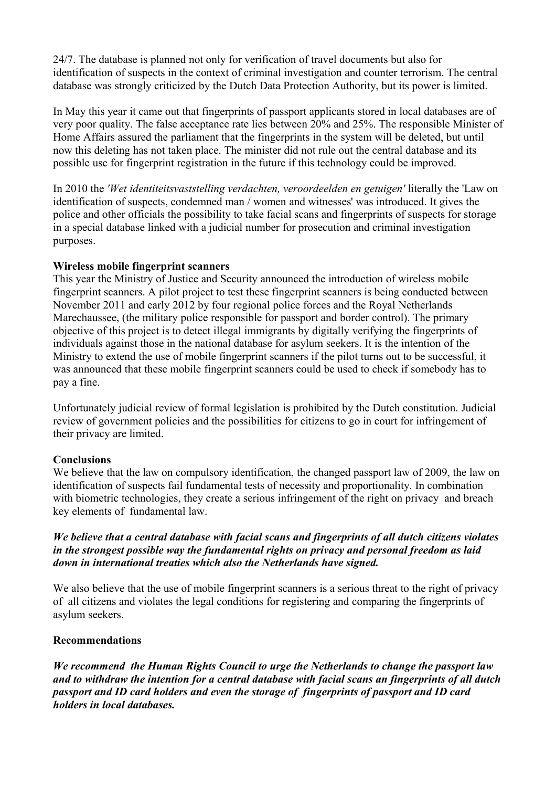24/7. The database is planned not only for verification of travel documents but also for identification of suspects in the context of criminal investigation and counter terrorism. The central database was strongly criticized by the Dutch Data Protection Authority, but its power is limited.

In May this year it came out that fingerprints of passport applicants stored in local databases are of very poor quality. The false acceptance rate lies between 20% and 25%. The responsible Minister of Home Affairs assured the parliament that the fingerprints in the system will be deleted, but until now this deleting has not taken place. The minister did not rule out the central database and its possible use for fingerprint registration in the future if this technology could be improved.

In 2010 the *'Wet identiteitsvaststelling verdachten, veroordeelden en getuigen'* literally the 'Law on identification of suspects, condemned man / women and witnesses' was introduced. It gives the police and other officials the possibility to take facial scans and fingerprints of suspects for storage in a special database linked with a judicial number for prosecution and criminal investigation purposes.

### **Wireless mobile fingerprint scanners**

This year the Ministry of Justice and Security announced the introduction of wireless mobile fingerprint scanners. A pilot project to test these fingerprint scanners is being conducted between November 2011 and early 2012 by four regional police forces and the Royal Netherlands Marechaussee, (the military police responsible for passport and border control). The primary objective of this project is to detect illegal immigrants by digitally verifying the fingerprints of individuals against those in the national database for asylum seekers. It is the intention of the Ministry to extend the use of mobile fingerprint scanners if the pilot turns out to be successful, it was announced that these mobile fingerprint scanners could be used to check if somebody has to pay a fine.

Unfortunately judicial review of formal legislation is prohibited by the Dutch constitution. Judicial review of government policies and the possibilities for citizens to go in court for infringement of their privacy are limited.

## **Conclusions**

We believe that the law on compulsory identification, the changed passport law of 2009, the law on identification of suspects fail fundamental tests of necessity and proportionality. In combination with biometric technologies, they create a serious infringement of the right on privacy and breach key elements of fundamental law.

#### *We believe that a central database with facial scans and fingerprints of all dutch citizens violates in the strongest possible way the fundamental rights on privacy and personal freedom as laid down in international treaties which also the Netherlands have signed.*

We also believe that the use of mobile fingerprint scanners is a serious threat to the right of privacy of all citizens and violates the legal conditions for registering and comparing the fingerprints of asylum seekers.

#### **Recommendations**

*We recommend the Human Rights Council to urge the Netherlands to change the passport law and to withdraw the intention for a central database with facial scans an fingerprints of all dutch passport and ID card holders and even the storage of fingerprints of passport and ID card holders in local databases.*